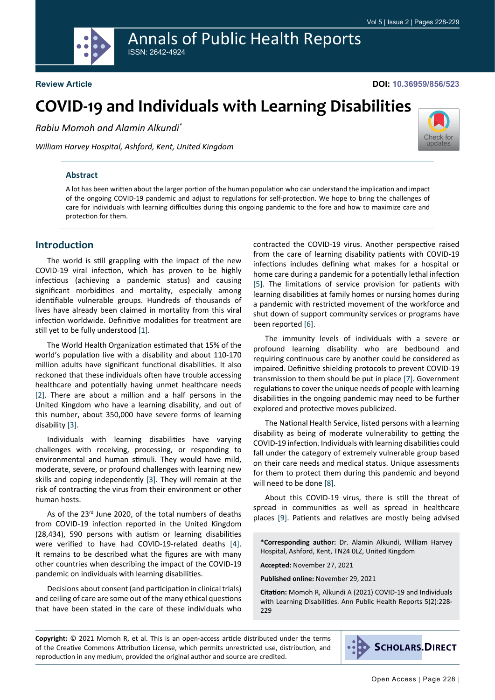# Annals of Public Health Reports ISSN: 2642-4924



#### **DOI: 10.36959/856/523**

[Check for](http://crossmark.crossref.org/dialog/?doi=10.36959/856/523&domain=pdf) updates

# **COVID-19 and Individuals with Learning Disabilities**

*Rabiu Momoh and Alamin Alkundi\**

*William Harvey Hospital, Ashford, Kent, United Kingdom*

#### **Abstract**

A lot has been written about the larger portion of the human population who can understand the implication and impact of the ongoing COVID-19 pandemic and adjust to regulations for self-protection. We hope to bring the challenges of care for individuals with learning difficulties during this ongoing pandemic to the fore and how to maximize care and protection for them.

## **Introduction**

The world is still grappling with the impact of the new COVID-19 viral infection, which has proven to be highly infectious (achieving a pandemic status) and causing significant morbidities and mortality, especially among identifiable vulnerable groups. Hundreds of thousands of lives have already been claimed in mortality from this viral infection worldwide. Definitive modalities for treatment are still yet to be fully understood [[1\]](#page-1-0).

The World Health Organization estimated that 15% of the world's population live with a disability and about 110-170 million adults have significant functional disabilities. It also reckoned that these individuals often have trouble accessing healthcare and potentially having unmet healthcare needs [[2\]](#page-1-1). There are about a million and a half persons in the United Kingdom who have a learning disability, and out of this number, about 350,000 have severe forms of learning disability [\[3](#page-1-2)].

Individuals with learning disabilities have varying challenges with receiving, processing, or responding to environmental and human stimuli. They would have mild, moderate, severe, or profound challenges with learning new skills and coping independently [\[3](#page-1-2)]. They will remain at the risk of contracting the virus from their environment or other human hosts.

As of the 23<sup>rd</sup> June 2020, of the total numbers of deaths from COVID-19 infection reported in the United Kingdom (28,434), 590 persons with autism or learning disabilities were verified to have had COVID-19-related deaths [[4\]](#page-1-3). It remains to be described what the figures are with many other countries when describing the impact of the COVID-19 pandemic on individuals with learning disabilities.

Decisions about consent (and participation in clinical trials) and ceiling of care are some out of the many ethical questions that have been stated in the care of these individuals who contracted the COVID-19 virus. Another perspective raised from the care of learning disability patients with COVID-19 infections includes defining what makes for a hospital or home care during a pandemic for a potentially lethal infection [[5\]](#page-1-4). The limitations of service provision for patients with learning disabilities at family homes or nursing homes during a pandemic with restricted movement of the workforce and shut down of support community services or programs have been reported [[6\]](#page-1-5).

The immunity levels of individuals with a severe or profound learning disability who are bedbound and requiring continuous care by another could be considered as impaired. Definitive shielding protocols to prevent COVID-19 transmission to them should be put in place [\[7](#page-1-6)]. Government regulations to cover the unique needs of people with learning disabilities in the ongoing pandemic may need to be further explored and protective moves publicized.

The National Health Service, listed persons with a learning disability as being of moderate vulnerability to getting the COVID-19 infection. Individuals with learning disabilities could fall under the category of extremely vulnerable group based on their care needs and medical status. Unique assessments for them to protect them during this pandemic and beyond will need to be done [\[8](#page-1-7)].

About this COVID-19 virus, there is still the threat of spread in communities as well as spread in healthcare places [\[9](#page-1-8)]. Patients and relatives are mostly being advised

**\*Corresponding author:** Dr. Alamin Alkundi, William Harvey Hospital, Ashford, Kent, TN24 0LZ, United Kingdom

**Accepted:** November 27, 2021

**Published online:** November 29, 2021

**Citation:** Momoh R, Alkundi A (2021) COVID-19 and Individuals with Learning Disabilities. Ann Public Health Reports 5(2):228- 229

**Copyright:** © 2021 Momoh R, et al. This is an open-access article distributed under the terms of the Creative Commons Attribution License, which permits unrestricted use, distribution, and reproduction in any medium, provided the original author and source are credited.